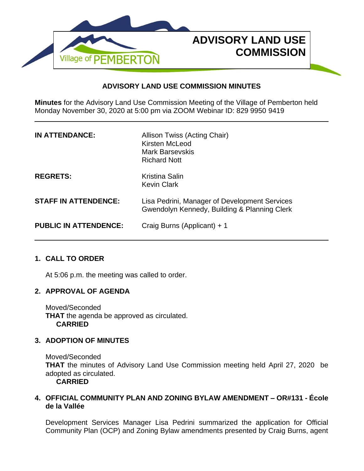

## **ADVISORY LAND USE COMMISSION MINUTES**

**Minutes** for the Advisory Land Use Commission Meeting of the Village of Pemberton held Monday November 30, 2020 at 5:00 pm via ZOOM Webinar ID: 829 9950 9419

| <b>IN ATTENDANCE:</b>        | Allison Twiss (Acting Chair)<br>Kirsten McLeod<br><b>Mark Barsevskis</b><br><b>Richard Nott</b> |
|------------------------------|-------------------------------------------------------------------------------------------------|
| <b>REGRETS:</b>              | <b>Kristina Salin</b><br><b>Kevin Clark</b>                                                     |
| <b>STAFF IN ATTENDENCE:</b>  | Lisa Pedrini, Manager of Development Services<br>Gwendolyn Kennedy, Building & Planning Clerk   |
| <b>PUBLIC IN ATTENDENCE:</b> | Craig Burns (Applicant) + 1                                                                     |

# **1. CALL TO ORDER**

At 5:06 p.m. the meeting was called to order.

## **2. APPROVAL OF AGENDA**

Moved/Seconded **THAT** the agenda be approved as circulated. **CARRIED**

## **3. ADOPTION OF MINUTES**

Moved/Seconded **THAT** the minutes of Advisory Land Use Commission meeting held April 27, 2020 be adopted as circulated.

**CARRIED**

## **4. OFFICIAL COMMUNITY PLAN AND ZONING BYLAW AMENDMENT – OR#131 - École de la Vallée**

Development Services Manager Lisa Pedrini summarized the application for Official Community Plan (OCP) and Zoning Bylaw amendments presented by Craig Burns, agent